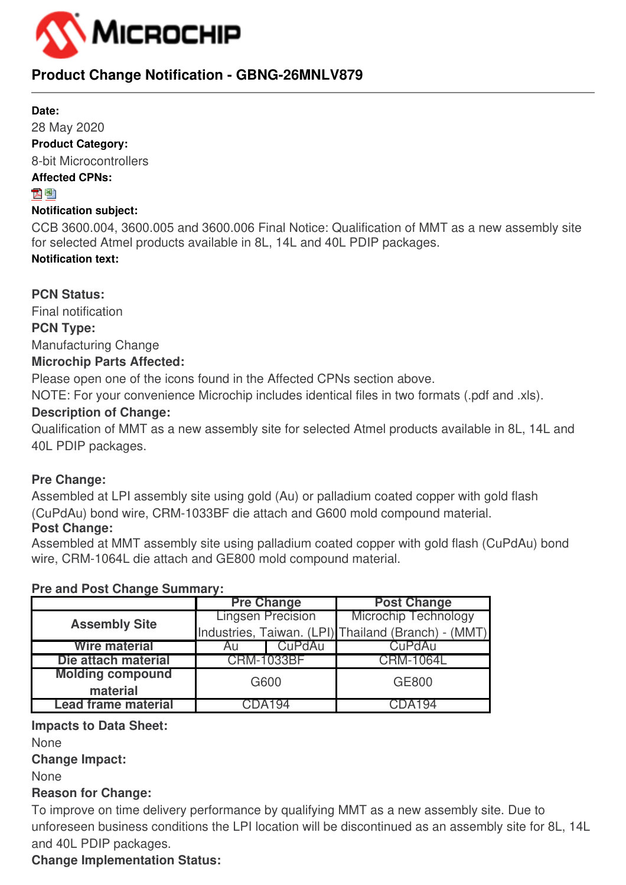

## **Product Change Notification - GBNG-26MNLV879**

#### **Date:**

28 May 2020 **Product Category:**

8-bit Microcontrollers

## **Affected CPNs:**

## 지평

## **Notification subject:**

CCB 3600.004, 3600.005 and 3600.006 Final Notice: Qualification of MMT as a new assembly site for selected Atmel products available in 8L, 14L and 40L PDIP packages. **Notification text:**

**PCN Status:**

Final notification **PCN Type:** Manufacturing Change

## **Microchip Parts Affected:**

Please open one of the icons found in the Affected CPNs section above.

NOTE: For your convenience Microchip includes identical files in two formats (.pdf and .xls).

## **Description of Change:**

Qualification of MMT as a new assembly site for selected Atmel products available in 8L, 14L and 40L PDIP packages.

## **Pre Change:**

Assembled at LPI assembly site using gold (Au) or palladium coated copper with gold flash (CuPdAu) bond wire, CRM-1033BF die attach and G600 mold compound material.

## **Post Change:**

Assembled at MMT assembly site using palladium coated copper with gold flash (CuPdAu) bond wire, CRM-1064L die attach and GE800 mold compound material.

## **Pre and Post Change Summary:**

|                            |                   | <b>Pre Change</b>        | <b>Post Change</b>                                  |  |  |  |  |
|----------------------------|-------------------|--------------------------|-----------------------------------------------------|--|--|--|--|
| <b>Assembly Site</b>       |                   | <b>Lingsen Precision</b> | <b>Microchip Technology</b>                         |  |  |  |  |
|                            |                   |                          | Industries, Taiwan. (LPI) Thailand (Branch) - (MMT) |  |  |  |  |
| <b>Wire material</b>       | Au                | CuPdAu                   | CuPdAu                                              |  |  |  |  |
| Die attach material        | <b>CRM-1033BF</b> |                          | <b>CRM-1064L</b>                                    |  |  |  |  |
| <b>Molding compound</b>    | G600              |                          | <b>GE800</b>                                        |  |  |  |  |
| material                   |                   |                          |                                                     |  |  |  |  |
| <b>Lead frame material</b> | CDA194            |                          | CDA194                                              |  |  |  |  |

## **Impacts to Data Sheet:**

None

**Change Impact:**

None

## **Reason for Change:**

To improve on time delivery performance by qualifying MMT as a new assembly site. Due to unforeseen business conditions the LPI location will be discontinued as an assembly site for 8L, 14L and 40L PDIP packages.

## **Change Implementation Status:**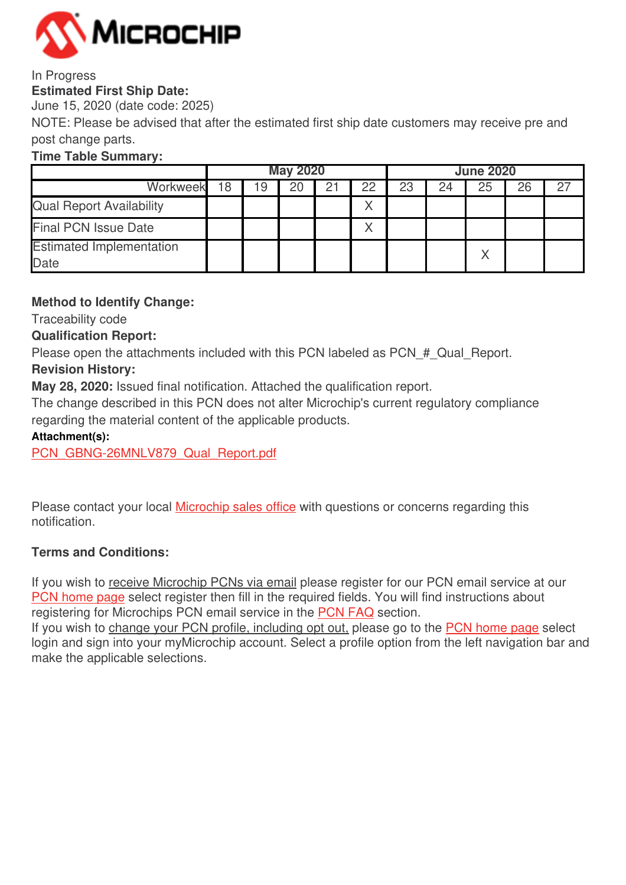

#### In Progress **Estimated First Ship Date:**

June 15, 2020 (date code: 2025)

NOTE: Please be advised that after the estimated first ship date customers may receive pre and post change parts.

## **Time Table Summary:**

|                                         | <b>May 2020</b> |   |    |  | <b>June 2020</b> |    |    |    |    |  |
|-----------------------------------------|-----------------|---|----|--|------------------|----|----|----|----|--|
| Workweek                                | 18              | 9 | 20 |  | 22               | 23 | 24 | 25 | 26 |  |
| <b>Qual Report Availability</b>         |                 |   |    |  |                  |    |    |    |    |  |
| <b>Final PCN Issue Date</b>             |                 |   |    |  |                  |    |    |    |    |  |
| <b>Estimated Implementation</b><br>Date |                 |   |    |  |                  |    |    |    |    |  |

## **Method to Identify Change:**

Traceability code

## **Qualification Report:**

Please open the attachments included with this PCN labeled as PCN # Qual Report.

## **Revision History:**

**May 28, 2020:** Issued final notification. Attached the qualification report.

The change described in this PCN does not alter Microchip's current regulatory compliance regarding the material content of the applicable products.

## **Attachment(s):**

[PCN\\_GBNG-26MNLV879\\_Qual\\_Report.pdf](https://www.microchip.com/mymicrochip/NotificationDetails.aspx?id=14290&file=PCN_GBNG-26MNLV879_Qual_Report.pdf)

Please contact your local [Microchip sales office](http://www.microchip.com/distributors/SalesHome.aspx) with questions or concerns regarding this notification.

## **Terms and Conditions:**

If you wish to receive Microchip PCNs via email please register for our PCN email service at our [PCN home page](http://www.microchip.com/pcn) select register then fill in the required fields. You will find instructions about registering for Microchips PCN email service in the [PCN FAQ](http://www.microchip.com/pcn/faqs) section.

If you wish to change your PCN profile, including opt out, please go to the [PCN home page](http://www.microchip.com/pcn) select login and sign into your myMicrochip account. Select a profile option from the left navigation bar and make the applicable selections.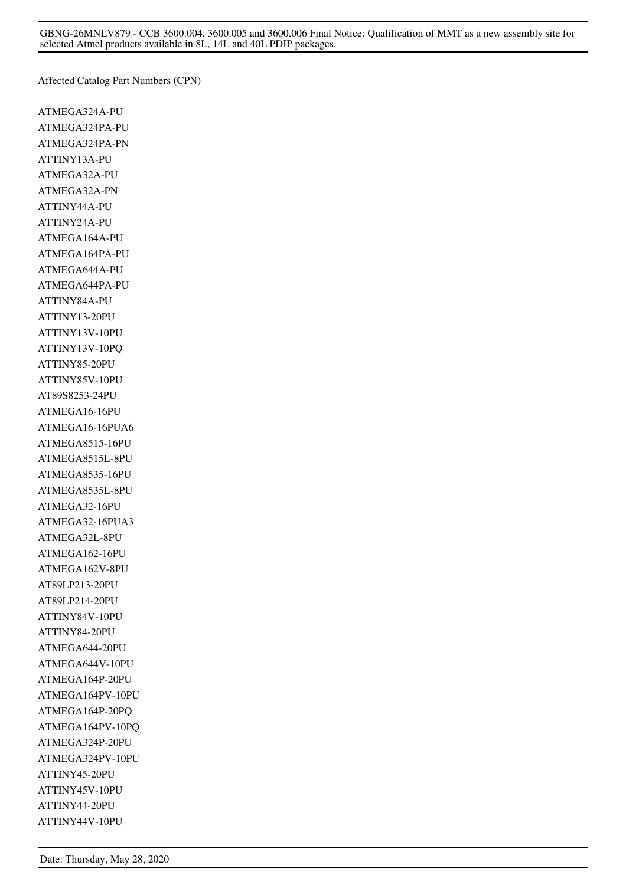GBNG-26MNLV879 - CCB 3600.004, 3600.005 and 3600.006 Final Notice: Qualification of MMT as a new assembly site for selected Atmel products available in 8L, 14L and 40L PDIP packages.

Affected Catalog Part Numbers (CPN)

ATMEGA324A-PU ATMEGA324PA-PU ATMEGA324PA-PN ATTINY13A-PU ATMEGA32A-PU ATMEGA32A-PN ATTINY44A-PU ATTINY24A-PU ATMEGA164A-PU ATMEGA164PA-PU ATMEGA644A-PU ATMEGA644PA-PU ATTINY84A-PU ATTINY13-20PU ATTINY13V-10PU ATTINY13V-10PQ ATTINY85-20PU ATTINY85V-10PU AT89S8253-24PU ATMEGA16-16PU ATMEGA16-16PUA6 ATMEGA8515-16PU ATMEGA8515L-8PU ATMEGA8535-16PU ATMEGA8535L-8PU ATMEGA32-16PU ATMEGA32-16PUA3 ATMEGA32L-8PU ATMEGA162-16PU ATMEGA162V-8PU AT89LP213-20PU AT89LP214-20PU ATTINY84V-10PU ATTINY84-20PU ATMEGA644-20PU ATMEGA644V-10PU ATMEGA164P-20PU ATMEGA164PV-10PU ATMEGA164P-20PQ ATMEGA164PV-10PQ ATMEGA324P-20PU ATMEGA324PV-10PU ATTINY45-20PU ATTINY45V-10PU ATTINY44-20PU ATTINY44V-10PU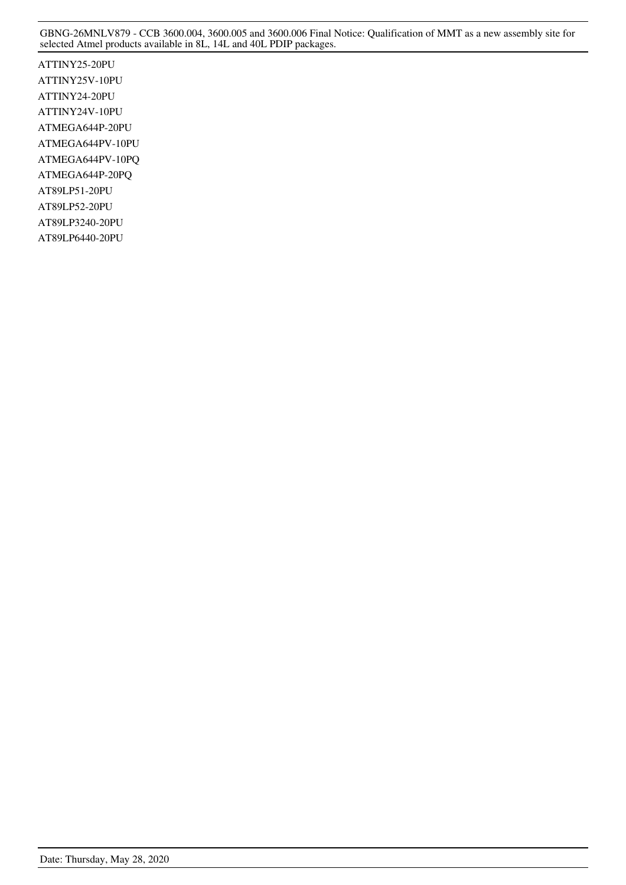GBNG-26MNLV879 - CCB 3600.004, 3600.005 and 3600.006 Final Notice: Qualification of MMT as a new assembly site for selected Atmel products available in 8L, 14L and 40L PDIP packages.

ATTINY25-20PU ATTINY25V-10PU ATTINY24-20PU ATTINY24V-10PU ATMEGA644P-20PU ATMEGA644PV-10PU ATMEGA644PV-10PQ ATMEGA644P-20PQ AT89LP51-20PU AT89LP52-20PU AT89LP3240-20PU AT89LP6440-20PU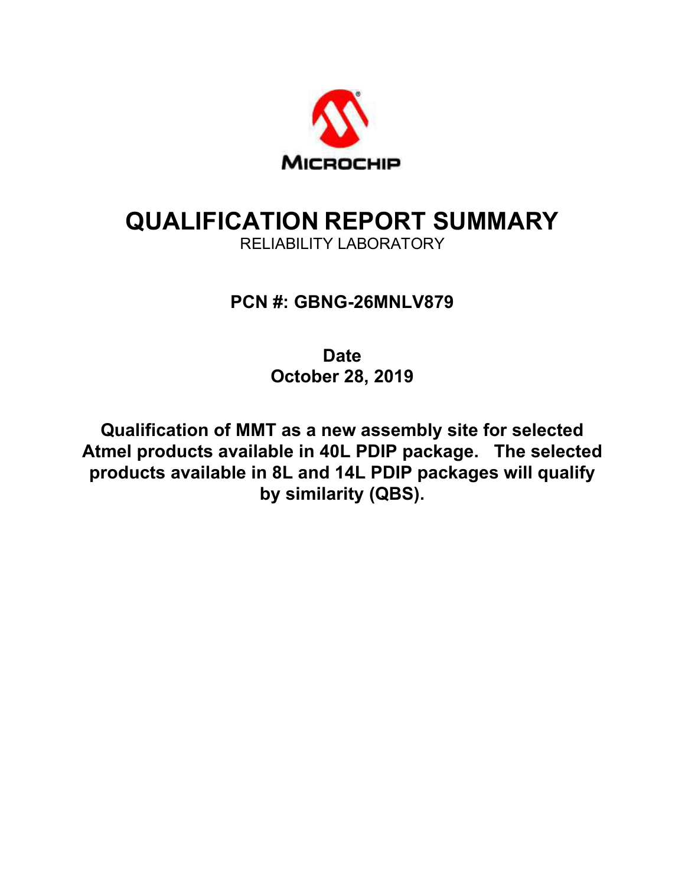

# **QUALIFICATION REPORT SUMMARY**

RELIABILITY LABORATORY

## **PCN #: GBNG-26MNLV879**

**Date October 28, 2019** 

**Qualification of MMT as a new assembly site for selected Atmel products available in 40L PDIP package. The selected products available in 8L and 14L PDIP packages will qualify by similarity (QBS).**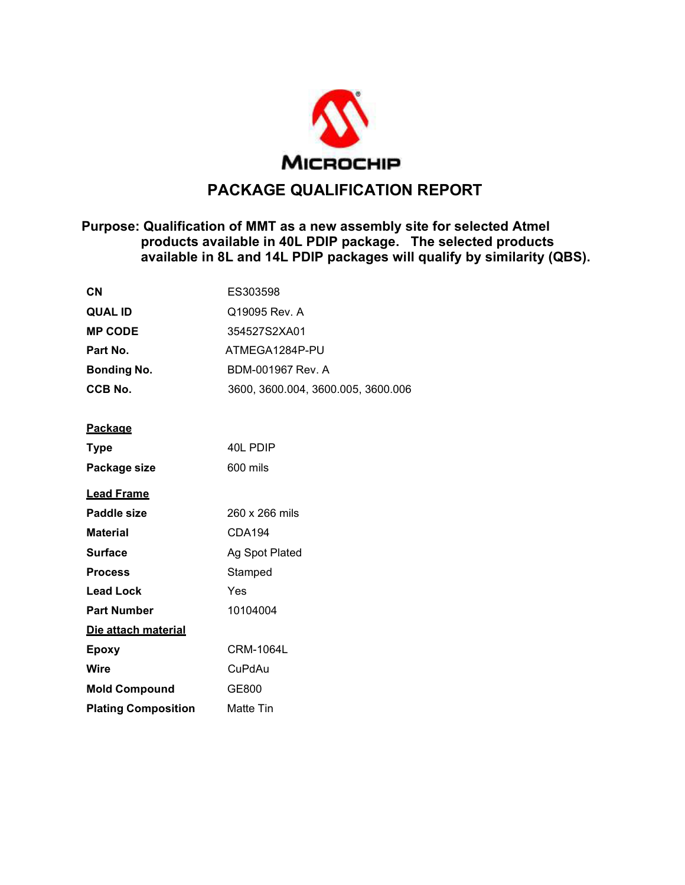

## **PACKAGE QUALIFICATION REPORT**

#### **Purpose: Qualification of MMT as a new assembly site for selected Atmel products available in 40L PDIP package. The selected products available in 8L and 14L PDIP packages will qualify by similarity (QBS).**

| <b>CN</b>          | ES303598                           |
|--------------------|------------------------------------|
| <b>QUAL ID</b>     | Q19095 Rev. A                      |
| <b>MP CODE</b>     | 354527S2XA01                       |
| Part No.           | ATMEGA1284P-PU                     |
| <b>Bonding No.</b> | BDM-001967 Rev. A                  |
| CCB No.            | 3600, 3600.004, 3600.005, 3600.006 |

#### **Package**

| <b>Type</b>                | 40L PDIP         |
|----------------------------|------------------|
| Package size               | 600 mils         |
| <u>Lead Frame</u>          |                  |
| Paddle size                | 260 x 266 mils   |
| <b>Material</b>            | CDA194           |
| <b>Surface</b>             | Ag Spot Plated   |
| <b>Process</b>             | Stamped          |
| <b>Lead Lock</b>           | Yes              |
| <b>Part Number</b>         | 10104004         |
| Die attach material        |                  |
| Epoxy                      | CRM-1064L        |
| Wire                       | CuPdAu           |
| <b>Mold Compound</b>       | GE800            |
| <b>Plating Composition</b> | <b>Matte Tin</b> |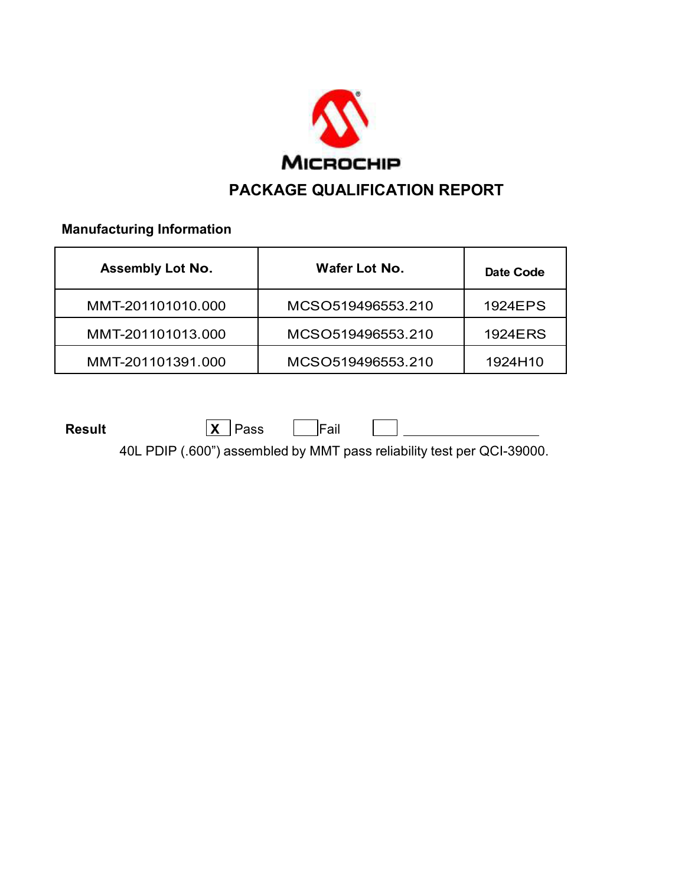

 **Manufacturing Information** 

| <b>Assembly Lot No.</b> | Wafer Lot No.     | Date Code |
|-------------------------|-------------------|-----------|
| MMT-201101010.000       | MCSO519496553.210 | 1924EPS   |
| MMT-201101013.000       | MCSO519496553.210 | 1924ERS   |
| MMT-201101391.000       | MCSO519496553.210 | 1924H10   |

**Result X** Pass Fail

40L PDIP (.600") assembled by MMT pass reliability test per QCI-39000.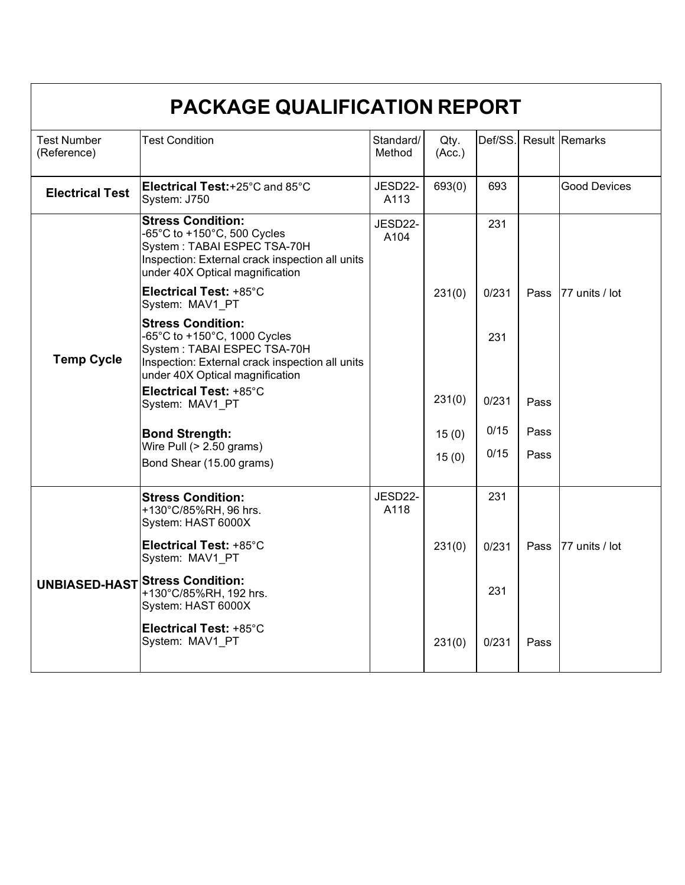| PACKAGE QUALIFICATION REPORT      |                                                                                                                                                                               |                     |                |       |      |                        |  |
|-----------------------------------|-------------------------------------------------------------------------------------------------------------------------------------------------------------------------------|---------------------|----------------|-------|------|------------------------|--|
| <b>Test Number</b><br>(Reference) | <b>Test Condition</b>                                                                                                                                                         | Standard/<br>Method | Qty.<br>(Acc.) |       |      | Def/SS. Result Remarks |  |
| <b>Electrical Test</b>            | Electrical Test:+25°C and 85°C<br>System: J750                                                                                                                                | JESD22-<br>A113     | 693(0)         | 693   |      | <b>Good Devices</b>    |  |
|                                   | <b>Stress Condition:</b><br>-65°C to +150°C, 500 Cycles<br>System: TABAI ESPEC TSA-70H<br>Inspection: External crack inspection all units<br>under 40X Optical magnification  | JESD22-<br>A104     |                | 231   |      |                        |  |
|                                   | Electrical Test: +85°C<br>System: MAV1 PT                                                                                                                                     |                     | 231(0)         | 0/231 | Pass | 77 units / lot         |  |
| <b>Temp Cycle</b>                 | <b>Stress Condition:</b><br>-65°C to +150°C, 1000 Cycles<br>System: TABAI ESPEC TSA-70H<br>Inspection: External crack inspection all units<br>under 40X Optical magnification |                     |                | 231   |      |                        |  |
|                                   | Electrical Test: +85°C<br>System: MAV1_PT                                                                                                                                     |                     | 231(0)         | 0/231 | Pass |                        |  |
|                                   | <b>Bond Strength:</b><br>Wire Pull $(> 2.50$ grams)                                                                                                                           |                     | 15(0)          | 0/15  | Pass |                        |  |
|                                   | Bond Shear (15.00 grams)                                                                                                                                                      |                     | 15(0)          | 0/15  | Pass |                        |  |
|                                   | <b>Stress Condition:</b><br>+130°C/85%RH, 96 hrs.<br>System: HAST 6000X                                                                                                       | JESD22-<br>A118     |                | 231   |      |                        |  |
|                                   | Electrical Test: +85°C<br>System: MAV1 PT                                                                                                                                     |                     | 231(0)         | 0/231 | Pass | 77 units / lot         |  |
|                                   | UNBIASED-HAST Stress Condition:<br>+130°C/85%RH, 192 hrs.<br>System: HAST 6000X                                                                                               |                     |                | 231   |      |                        |  |
|                                   | Electrical Test: +85°C<br>System: MAV1 PT                                                                                                                                     |                     | 231(0)         | 0/231 | Pass |                        |  |